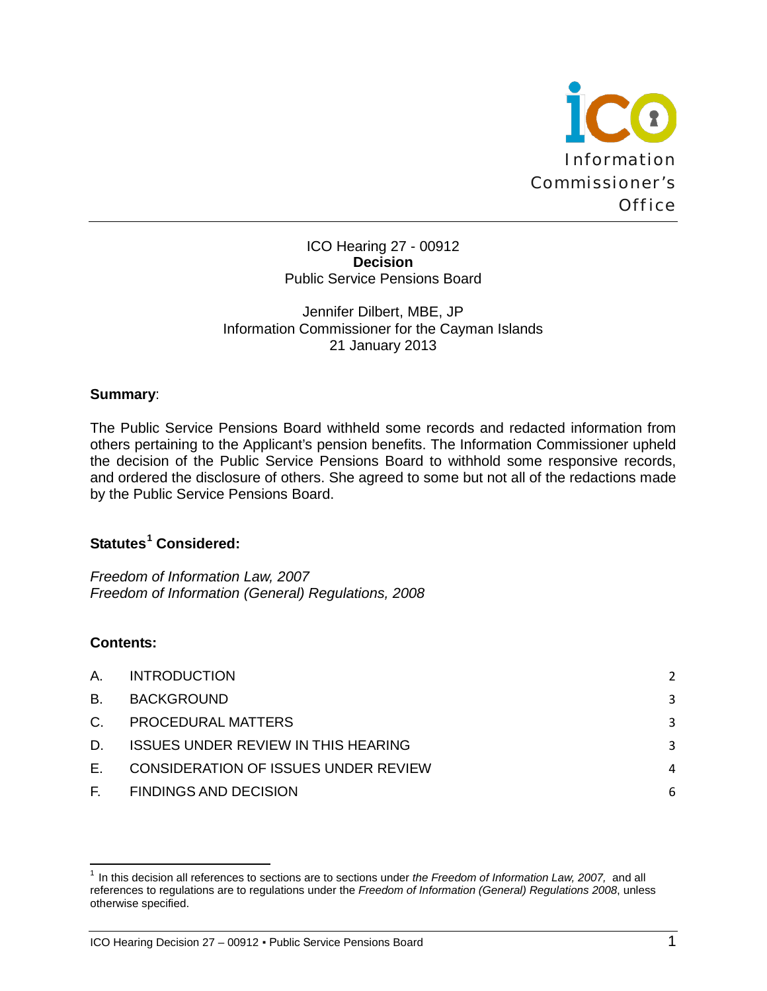

ICO Hearing 27 - 00912 **Decision** Public Service Pensions Board

### Jennifer Dilbert, MBE, JP Information Commissioner for the Cayman Islands 21 January 2013

### **Summary**:

The Public Service Pensions Board withheld some records and redacted information from others pertaining to the Applicant's pension benefits. The Information Commissioner upheld the decision of the Public Service Pensions Board to withhold some responsive records, and ordered the disclosure of others. She agreed to some but not all of the redactions made by the Public Service Pensions Board.

# **Statutes[1](#page-0-0) Considered:**

*Freedom of Information Law, 2007 Freedom of Information (General) Regulations, 2008*

# **Contents:**

l

| А.        | <b>INTRODUCTION</b>                  | 2 |
|-----------|--------------------------------------|---|
| <b>B.</b> | BACKGROUND                           | 3 |
| C.        | PROCEDURAL MATTERS                   | 3 |
| D.        | ISSUES UNDER REVIEW IN THIS HEARING  | 3 |
| Е.        | CONSIDERATION OF ISSUES UNDER REVIEW | 4 |
| F.        | <b>FINDINGS AND DECISION</b>         | 6 |

<span id="page-0-0"></span><sup>1</sup> In this decision all references to sections are to sections under *the Freedom of Information Law, 2007,* and all references to regulations are to regulations under the *Freedom of Information (General) Regulations 2008*, unless otherwise specified.

ICO Hearing Decision 27 - 00912 · Public Service Pensions Board 1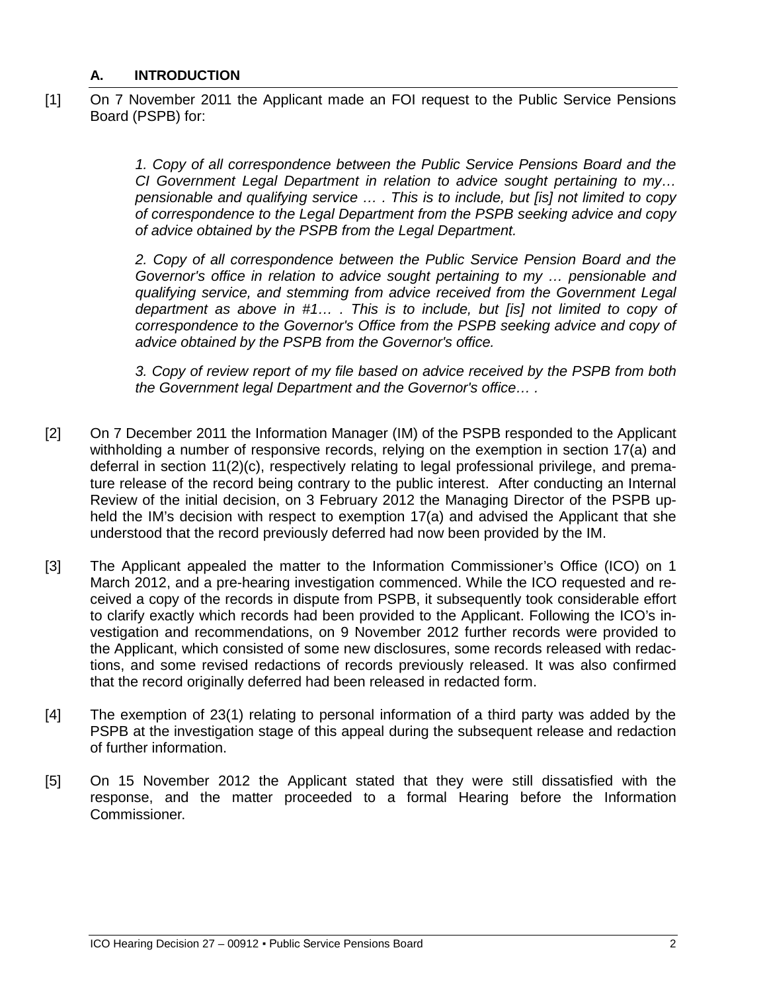### <span id="page-1-0"></span>**A. INTRODUCTION**

[1] On 7 November 2011 the Applicant made an FOI request to the Public Service Pensions Board (PSPB) for:

> *1. Copy of all correspondence between the Public Service Pensions Board and the CI Government Legal Department in relation to advice sought pertaining to my… pensionable and qualifying service … . This is to include, but [is] not limited to copy of correspondence to the Legal Department from the PSPB seeking advice and copy of advice obtained by the PSPB from the Legal Department.*

> *2. Copy of all correspondence between the Public Service Pension Board and the Governor's office in relation to advice sought pertaining to my … pensionable and qualifying service, and stemming from advice received from the Government Legal department as above in #1… . This is to include, but [is] not limited to copy of correspondence to the Governor's Office from the PSPB seeking advice and copy of advice obtained by the PSPB from the Governor's office.*

> *3. Copy of review report of my file based on advice received by the PSPB from both the Government legal Department and the Governor's office… .*

- [2] On 7 December 2011 the Information Manager (IM) of the PSPB responded to the Applicant withholding a number of responsive records, relying on the exemption in section 17(a) and deferral in section 11(2)(c), respectively relating to legal professional privilege, and premature release of the record being contrary to the public interest. After conducting an Internal Review of the initial decision, on 3 February 2012 the Managing Director of the PSPB upheld the IM's decision with respect to exemption 17(a) and advised the Applicant that she understood that the record previously deferred had now been provided by the IM.
- [3] The Applicant appealed the matter to the Information Commissioner's Office (ICO) on 1 March 2012, and a pre-hearing investigation commenced. While the ICO requested and received a copy of the records in dispute from PSPB, it subsequently took considerable effort to clarify exactly which records had been provided to the Applicant. Following the ICO's investigation and recommendations, on 9 November 2012 further records were provided to the Applicant, which consisted of some new disclosures, some records released with redactions, and some revised redactions of records previously released. It was also confirmed that the record originally deferred had been released in redacted form.
- [4] The exemption of 23(1) relating to personal information of a third party was added by the PSPB at the investigation stage of this appeal during the subsequent release and redaction of further information.
- [5] On 15 November 2012 the Applicant stated that they were still dissatisfied with the response, and the matter proceeded to a formal Hearing before the Information Commissioner.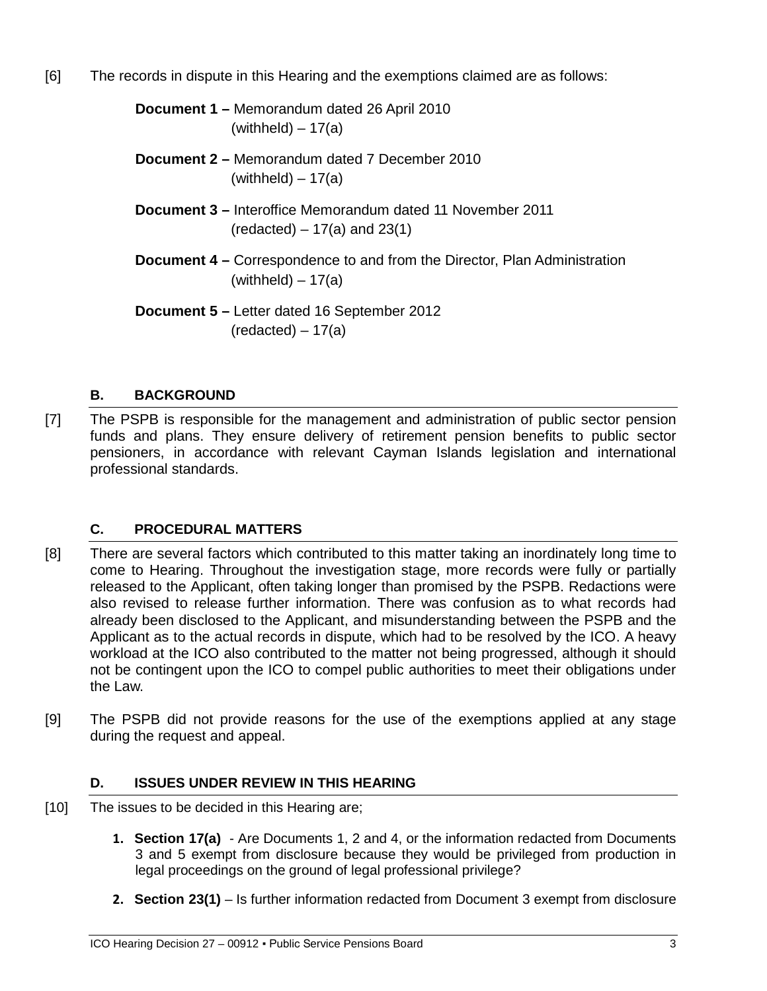[6] The records in dispute in this Hearing and the exemptions claimed are as follows:

**Document 1 –** Memorandum dated 26 April 2010  $(withheld) - 17(a)$ 

- **Document 2 –** Memorandum dated 7 December 2010  $(withheld) - 17(a)$
- **Document 3 –** Interoffice Memorandum dated 11 November 2011  $(\text{redacted}) - 17(a)$  and 23(1)
- **Document 4 –** Correspondence to and from the Director, Plan Administration  $(withheld) - 17(a)$
- **Document 5 –** Letter dated 16 September 2012  $(\text{redacted}) - 17(a)$

# <span id="page-2-0"></span>**B. BACKGROUND**

[7] The PSPB is responsible for the management and administration of public sector pension funds and plans. They ensure delivery of retirement pension benefits to public sector pensioners, in accordance with relevant Cayman Islands legislation and international professional standards.

# <span id="page-2-1"></span>**C. PROCEDURAL MATTERS**

- [8] There are several factors which contributed to this matter taking an inordinately long time to come to Hearing. Throughout the investigation stage, more records were fully or partially released to the Applicant, often taking longer than promised by the PSPB. Redactions were also revised to release further information. There was confusion as to what records had already been disclosed to the Applicant, and misunderstanding between the PSPB and the Applicant as to the actual records in dispute, which had to be resolved by the ICO. A heavy workload at the ICO also contributed to the matter not being progressed, although it should not be contingent upon the ICO to compel public authorities to meet their obligations under the Law.
- [9] The PSPB did not provide reasons for the use of the exemptions applied at any stage during the request and appeal.

# <span id="page-2-2"></span>**D. ISSUES UNDER REVIEW IN THIS HEARING**

- [10] The issues to be decided in this Hearing are;
	- **1. Section 17(a)**  Are Documents 1, 2 and 4, or the information redacted from Documents 3 and 5 exempt from disclosure because they would be privileged from production in legal proceedings on the ground of legal professional privilege?
	- **2. Section 23(1)** Is further information redacted from Document 3 exempt from disclosure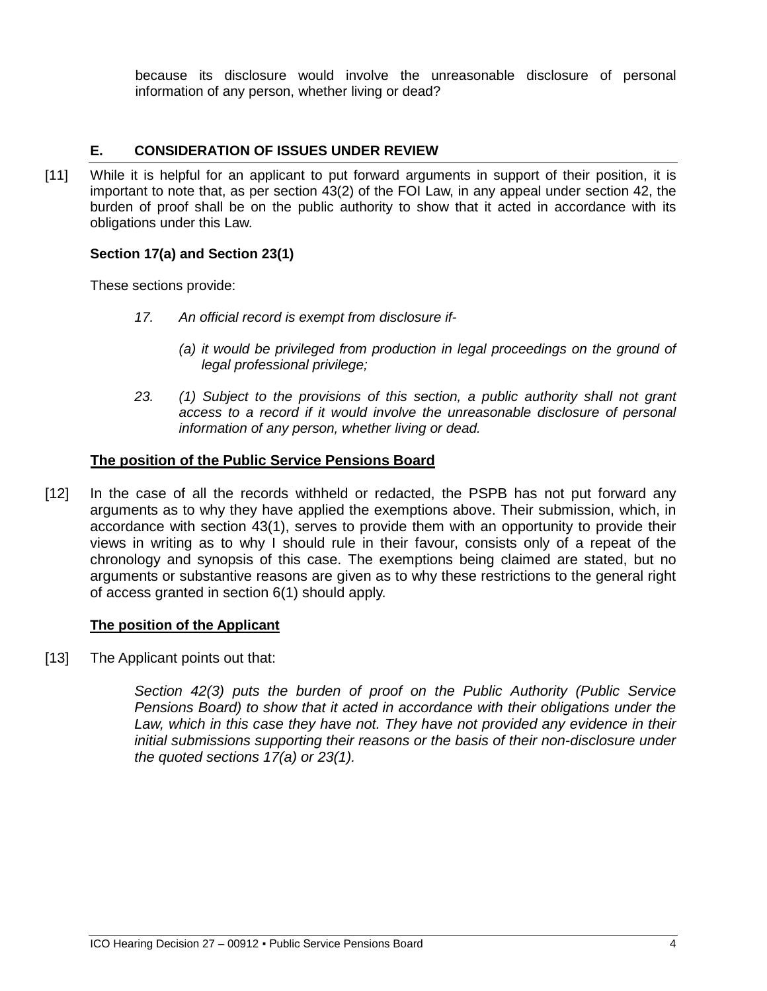because its disclosure would involve the unreasonable disclosure of personal information of any person, whether living or dead?

### <span id="page-3-0"></span>**E. CONSIDERATION OF ISSUES UNDER REVIEW**

[11] While it is helpful for an applicant to put forward arguments in support of their position, it is important to note that, as per section 43(2) of the FOI Law, in any appeal under section 42, the burden of proof shall be on the public authority to show that it acted in accordance with its obligations under this Law.

#### **Section 17(a) and Section 23(1)**

These sections provide:

- *17. An official record is exempt from disclosure if-*
	- *(a) it would be privileged from production in legal proceedings on the ground of legal professional privilege;*
- *23. (1) Subject to the provisions of this section, a public authority shall not grant access to a record if it would involve the unreasonable disclosure of personal information of any person, whether living or dead.*

### **The position of the Public Service Pensions Board**

[12] In the case of all the records withheld or redacted, the PSPB has not put forward any arguments as to why they have applied the exemptions above. Their submission, which, in accordance with section 43(1), serves to provide them with an opportunity to provide their views in writing as to why I should rule in their favour, consists only of a repeat of the chronology and synopsis of this case. The exemptions being claimed are stated, but no arguments or substantive reasons are given as to why these restrictions to the general right of access granted in section 6(1) should apply.

#### **The position of the Applicant**

[13] The Applicant points out that:

*Section 42(3) puts the burden of proof on the Public Authority (Public Service Pensions Board) to show that it acted in accordance with their obligations under the*  Law, which in this case they have not. They have not provided any evidence in their *initial submissions supporting their reasons or the basis of their non-disclosure under the quoted sections 17(a) or 23(1).*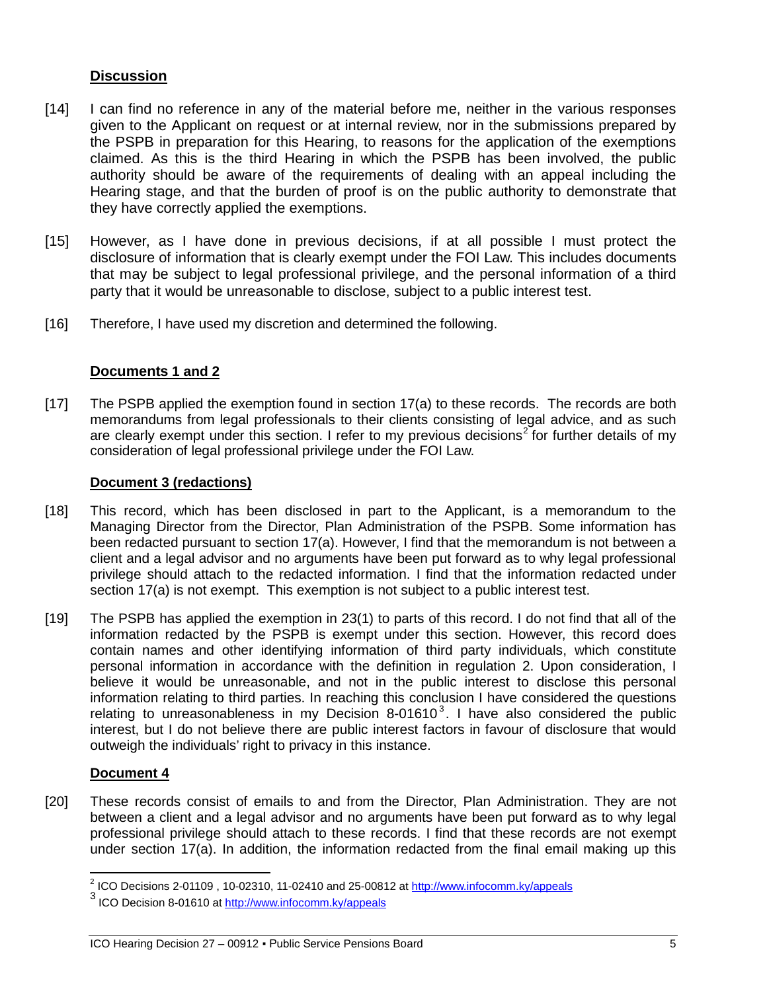# **Discussion**

- [14] I can find no reference in any of the material before me, neither in the various responses given to the Applicant on request or at internal review, nor in the submissions prepared by the PSPB in preparation for this Hearing, to reasons for the application of the exemptions claimed. As this is the third Hearing in which the PSPB has been involved, the public authority should be aware of the requirements of dealing with an appeal including the Hearing stage, and that the burden of proof is on the public authority to demonstrate that they have correctly applied the exemptions.
- [15] However, as I have done in previous decisions, if at all possible I must protect the disclosure of information that is clearly exempt under the FOI Law. This includes documents that may be subject to legal professional privilege, and the personal information of a third party that it would be unreasonable to disclose, subject to a public interest test.
- [16] Therefore, I have used my discretion and determined the following.

# **Documents 1 and 2**

[17] The PSPB applied the exemption found in section 17(a) to these records. The records are both memorandums from legal professionals to their clients consisting of legal advice, and as such are clearly exempt under this section. I refer to my previous decisions<sup>[2](#page-4-0)</sup> for further details of my consideration of legal professional privilege under the FOI Law.

### **Document 3 (redactions)**

- [18] This record, which has been disclosed in part to the Applicant, is a memorandum to the Managing Director from the Director, Plan Administration of the PSPB. Some information has been redacted pursuant to section 17(a). However, I find that the memorandum is not between a client and a legal advisor and no arguments have been put forward as to why legal professional privilege should attach to the redacted information. I find that the information redacted under section 17(a) is not exempt. This exemption is not subject to a public interest test.
- [19] The PSPB has applied the exemption in 23(1) to parts of this record. I do not find that all of the information redacted by the PSPB is exempt under this section. However, this record does contain names and other identifying information of third party individuals, which constitute personal information in accordance with the definition in regulation 2. Upon consideration, I believe it would be unreasonable, and not in the public interest to disclose this personal information relating to third parties. In reaching this conclusion I have considered the questions relating to unreasonableness in my Decision 8-01610<sup>[3](#page-4-1)</sup>. I have also considered the public interest, but I do not believe there are public interest factors in favour of disclosure that would outweigh the individuals' right to privacy in this instance.

# **Document 4**

 $\overline{\phantom{0}}$ 

[20] These records consist of emails to and from the Director, Plan Administration. They are not between a client and a legal advisor and no arguments have been put forward as to why legal professional privilege should attach to these records. I find that these records are not exempt under section 17(a). In addition, the information redacted from the final email making up this

<span id="page-4-0"></span><sup>&</sup>lt;sup>2</sup> ICO Decisions 2-01109 , 10-02310, 11-02410 and 25-00812 at  $\frac{http://www.infocomm.ky/appeals}{http://www.infocomm.ky/appeals}$ <br><sup>3</sup> ICO Decision 8-01610 a[t http://www.infocomm.ky/appeals](http://www.infocomm.ky/appeals)

<span id="page-4-1"></span>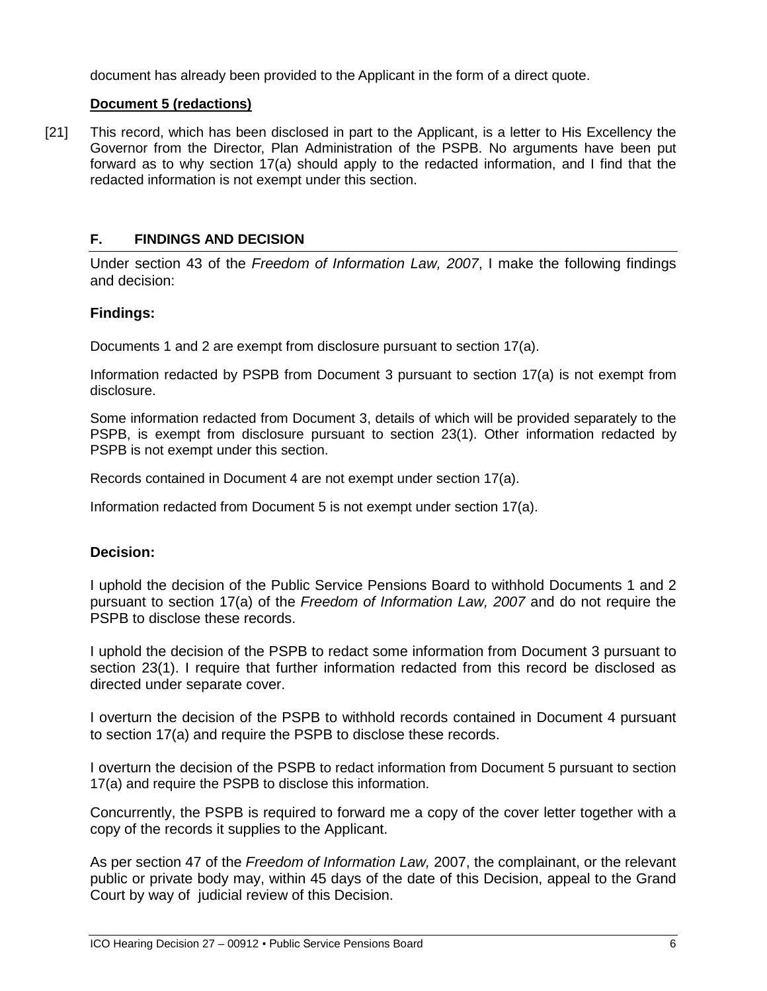document has already been provided to the Applicant in the form of a direct quote.

### **Document 5 (redactions)**

[21] This record, which has been disclosed in part to the Applicant, is a letter to His Excellency the Governor from the Director, Plan Administration of the PSPB. No arguments have been put forward as to why section 17(a) should apply to the redacted information, and I find that the redacted information is not exempt under this section.

# <span id="page-5-0"></span>**F. FINDINGS AND DECISION**

Under section 43 of the *Freedom of Information Law, 2007*, I make the following findings and decision:

# **Findings:**

Documents 1 and 2 are exempt from disclosure pursuant to section 17(a).

Information redacted by PSPB from Document 3 pursuant to section 17(a) is not exempt from disclosure.

Some information redacted from Document 3, details of which will be provided separately to the PSPB, is exempt from disclosure pursuant to section 23(1). Other information redacted by PSPB is not exempt under this section.

Records contained in Document 4 are not exempt under section 17(a).

Information redacted from Document 5 is not exempt under section 17(a).

### **Decision:**

I uphold the decision of the Public Service Pensions Board to withhold Documents 1 and 2 pursuant to section 17(a) of the *Freedom of Information Law, 2007* and do not require the PSPB to disclose these records.

I uphold the decision of the PSPB to redact some information from Document 3 pursuant to section 23(1). I require that further information redacted from this record be disclosed as directed under separate cover.

I overturn the decision of the PSPB to withhold records contained in Document 4 pursuant to section 17(a) and require the PSPB to disclose these records.

I overturn the decision of the PSPB to redact information from Document 5 pursuant to section 17(a) and require the PSPB to disclose this information.

Concurrently, the PSPB is required to forward me a copy of the cover letter together with a copy of the records it supplies to the Applicant.

As per section 47 of the *Freedom of Information Law,* 2007, the complainant, or the relevant public or private body may, within 45 days of the date of this Decision, appeal to the Grand Court by way of judicial review of this Decision.